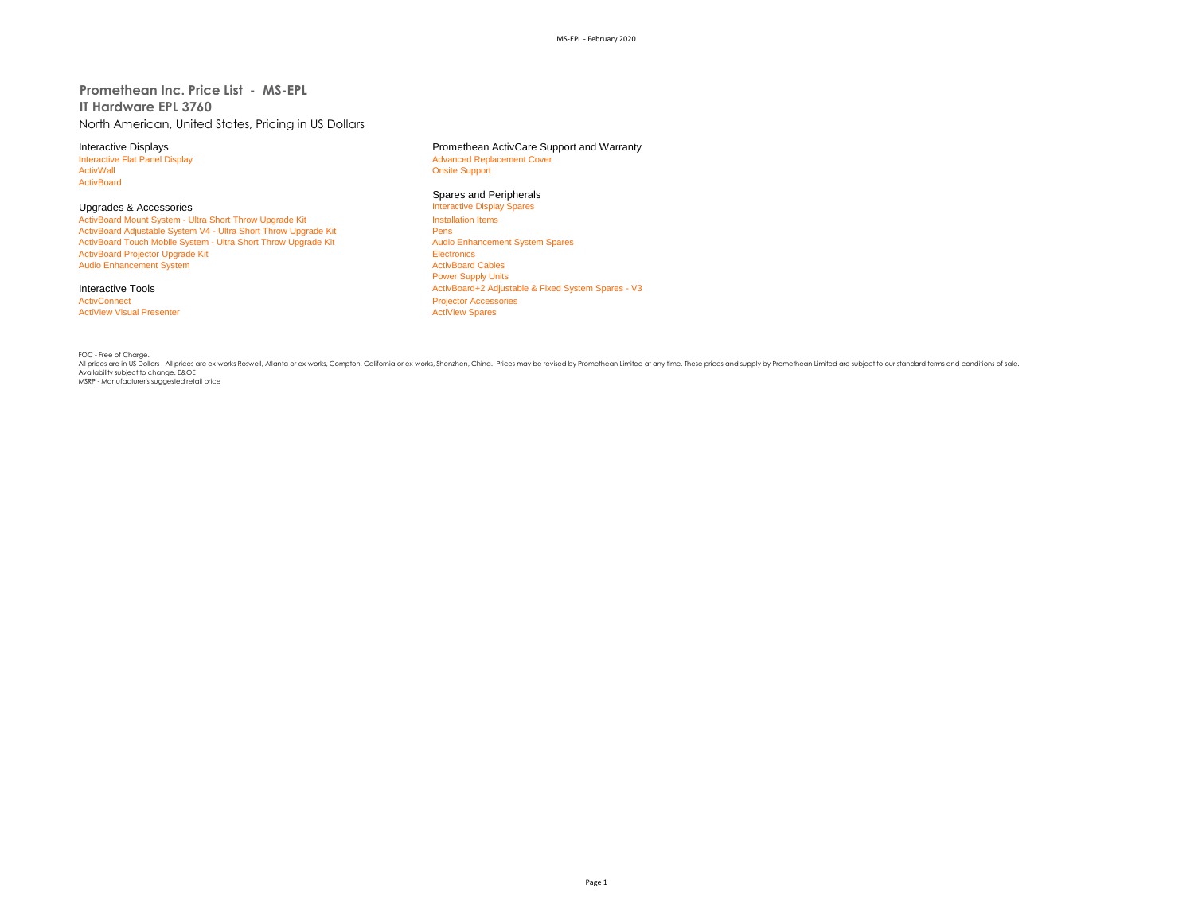**Promethean Inc. Price List - MS-EPL IT Hardware EPL 3760** North American, United States, Pricing in US Dollars

ActivBoard

Upgrades & Accessories **Interactive Display Spares Accessories** Interactive Display<br>
ActivBoard Mount System - Ultra Short Throw Upgrade Kit **Interactive Display Spares Installation** Items ActivBoard Mount System - Ultra Short Throw Upgrade Kit Install<br>ActivBoard Adjustable System V4 - Ultra Short Throw Upgrade Kit Install ActivBoard Adjustable System V4 - Ultra Short Throw Upgrade Kit Pens<br>
Pens Persi ActivBoard Touch Mobile System - Ultra Short Throw Upgrade Kit Pens Pens Audio Enhancement System Spares ActivBoard Touch Mobile System - Ultra Short Throw Upgrade Kit ActivBoard Projector Upgrade Kit Electronics<br>
Audio Enhancement System<br>
ActivBoard Cables Audio Enhancement System

**ActiView Visual Presenter** 

Interactive Displays<br>
Interactive Flat Panel Display<br> **Interactive Flat Panel Display**<br> **Advanced Replacement Cover** Interactive Flat Panel Display and The Supervisor of Advanced Replacement Cover<br>
Advanced Replacement Cover<br>
Advanced Replacement Cover **Onsite Support** 

# Spares and Peripherals<br>Interactive Display Spares

Power Supply Units Interactive Tools<br> **Interactive Tools**<br> **ActivBoard+2 Adjustable & Fixed System Spares - V3**<br> **ActivBoard+2 Adjustable & Fixed System Spares - V3**<br> **Projector Accessories** Projector Accessories<br>ActiView Spares

FOC - Free of Charge. . July rices are in US Dollars - All prices are ex-works Roswell, Atlanta or ex-works, Compton, California or ex-works, Shenzhen, China. Prices may be revised by Promethean Limited at any time. These prices and supply by P Availability subject to change. E&OE MSRP - Manufacturer's suggested retail price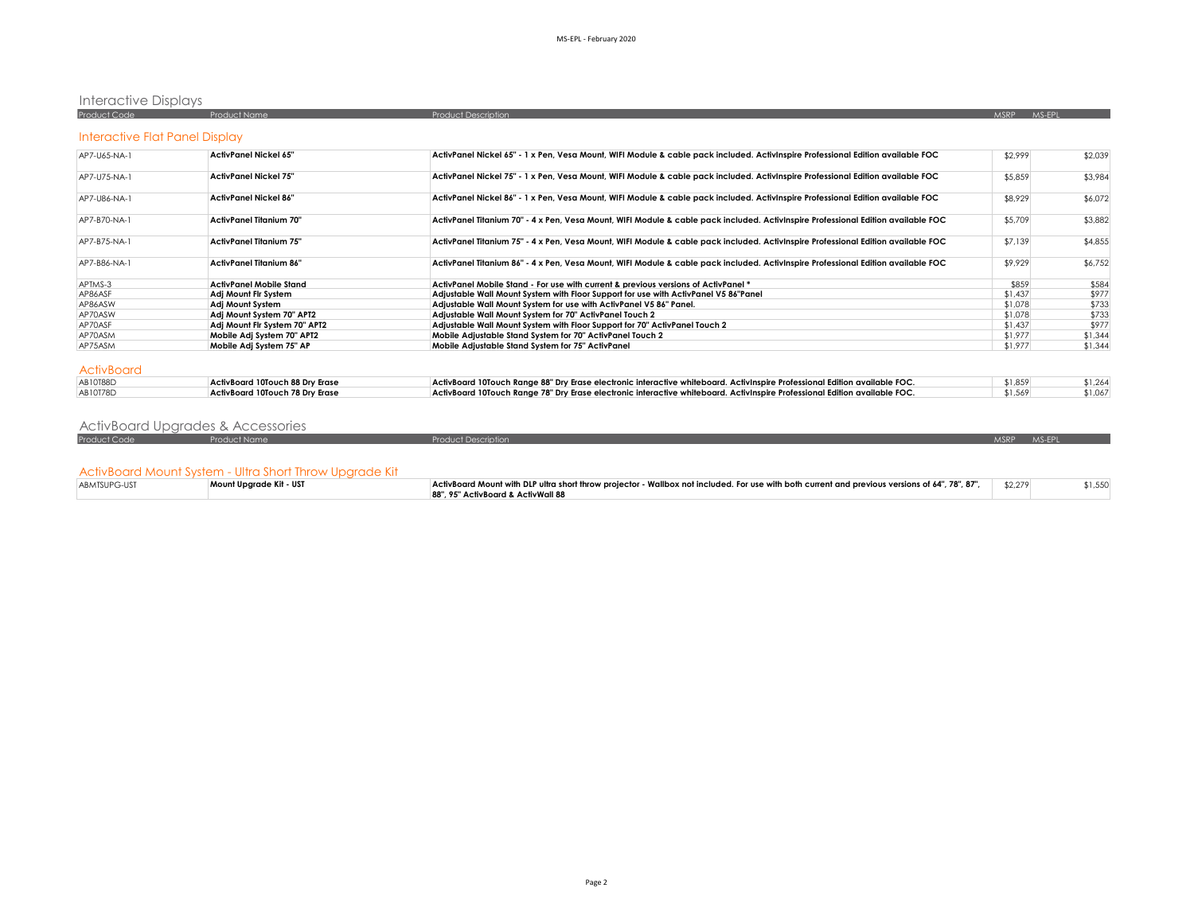# Interactive Displays

| <b>Product Code</b>            | <b>Product Name</b>                    | <b>Product Description</b>                                                                                                        | <b>MSRP</b> | MS-EPL  |
|--------------------------------|----------------------------------------|-----------------------------------------------------------------------------------------------------------------------------------|-------------|---------|
| Interactive Flat Panel Display |                                        |                                                                                                                                   |             |         |
| AP7-U65-NA-1                   | <b>ActivPanel Nickel 65"</b>           | ActivPanel Nickel 65" - 1 x Pen, Vesa Mount, WIFI Module & cable pack included. ActivInspire Professional Edition available FOC   | \$2,999     | \$2,039 |
| AP7-U75-NA-1                   | <b>ActivPanel Nickel 75"</b>           | ActivPanel Nickel 75" - 1 x Pen, Vesa Mount, WIFI Module & cable pack included. ActivInspire Professional Edition available FOC   | \$5,859     | \$3,984 |
| AP7-U86-NA-1                   | ActivPanel Nickel 86"                  | ActivPanel Nickel 86" - 1 x Pen, Vesa Mount, WIFI Module & cable pack included. ActivInspire Professional Edition available FOC   | \$8,929     | \$6,072 |
| AP7-B70-NA-1                   | <b>ActivPanel Titanium 70"</b>         | ActivPanel Titanium 70" - 4 x Pen, Vesa Mount, WIFI Module & cable pack included. ActivInspire Professional Edition available FOC | \$5,709     | \$3,882 |
| AP7-B75-NA-1                   | <b>ActivPanel Titanium 75"</b>         | ActivPanel Titanium 75" - 4 x Pen, Vesa Mount, WIFI Module & cable pack included. ActivInspire Professional Edition available FOC | \$7,139     | \$4,855 |
| AP7-B86-NA-1                   | <b>ActivPanel Titanium 86"</b>         | ActivPanel Titanium 86" - 4 x Pen, Vesa Mount, WIFI Module & cable pack included. ActivInspire Professional Edition available FOC | \$9,929     | \$6,752 |
| APTMS-3                        | <b>ActivPanel Mobile Stand</b>         | ActivPanel Mobile Stand - For use with current & previous versions of ActivPanel *                                                | \$859       | \$584   |
| AP86ASF                        | Adi Mount Flr System                   | Adjustable Wall Mount System with Floor Support for use with ActivPanel V5 86"Panel                                               | \$1,437     | \$977   |
| AP86ASW                        | <b>Adi Mount System</b>                | Adiustable Wall Mount System for use with ActivPanel V5 86" Panel.                                                                | \$1,078     | \$733   |
| AP70ASW                        | Adi Mount System 70" APT2              | Adiustable Wall Mount System for 70" ActivPanel Touch 2                                                                           | \$1,078     | \$733   |
| AP70ASF                        | Adj Mount Fir System 70" APT2          | Adjustable Wall Mount System with Floor Support for 70" ActivPanel Touch 2                                                        | \$1,437     | \$977   |
| AP70ASM                        | Mobile Adj System 70" APT2             | Mobile Adjustable Stand System for 70" ActivPanel Touch 2                                                                         | \$1,977     | \$1,344 |
| AP75ASM                        | Mobile Adj System 75" AP               | Mobile Adiustable Stand System for 75" ActivPanel                                                                                 | \$1,977     | \$1,344 |
| <b>ActivBoard</b>              |                                        |                                                                                                                                   |             |         |
| AB10T88D                       | ActivBoard 10Touch 88 Dry Erase        | ActivBoard 10Touch Range 88" Dry Erase electronic interactive whiteboard. ActivInspire Professional Edition available FOC.        | \$1,859     | \$1,264 |
| AB10T78D                       | <b>ActivBoard 10Touch 78 Drv Erase</b> | ActivBoard 10Touch Range 78" Dry Erase electronic interactive whiteboard. ActivInspire Professional Edition available FOC.        | \$1,569     | \$1,067 |

# ActivBoard Upgrades & Accessories

| <b>Product Code</b> | Product Name                                            | <b>Product Description</b>                                                                                                                      |         |         |
|---------------------|---------------------------------------------------------|-------------------------------------------------------------------------------------------------------------------------------------------------|---------|---------|
|                     |                                                         |                                                                                                                                                 |         |         |
|                     |                                                         |                                                                                                                                                 |         |         |
|                     | ActivBoard Mount System - Ultra Short Throw Upgrade Kit |                                                                                                                                                 |         |         |
| ABMTSUPG-UST        | Mount Upgrade Kit - UST                                 | ActivBoard Mount with DLP ultra short throw projector - Wallbox not included. For use with both current and previous versions of 64", 78", 87", | \$2,279 | \$1,550 |
|                     |                                                         | 88", 95" ActivBoard & ActivWall 88                                                                                                              |         |         |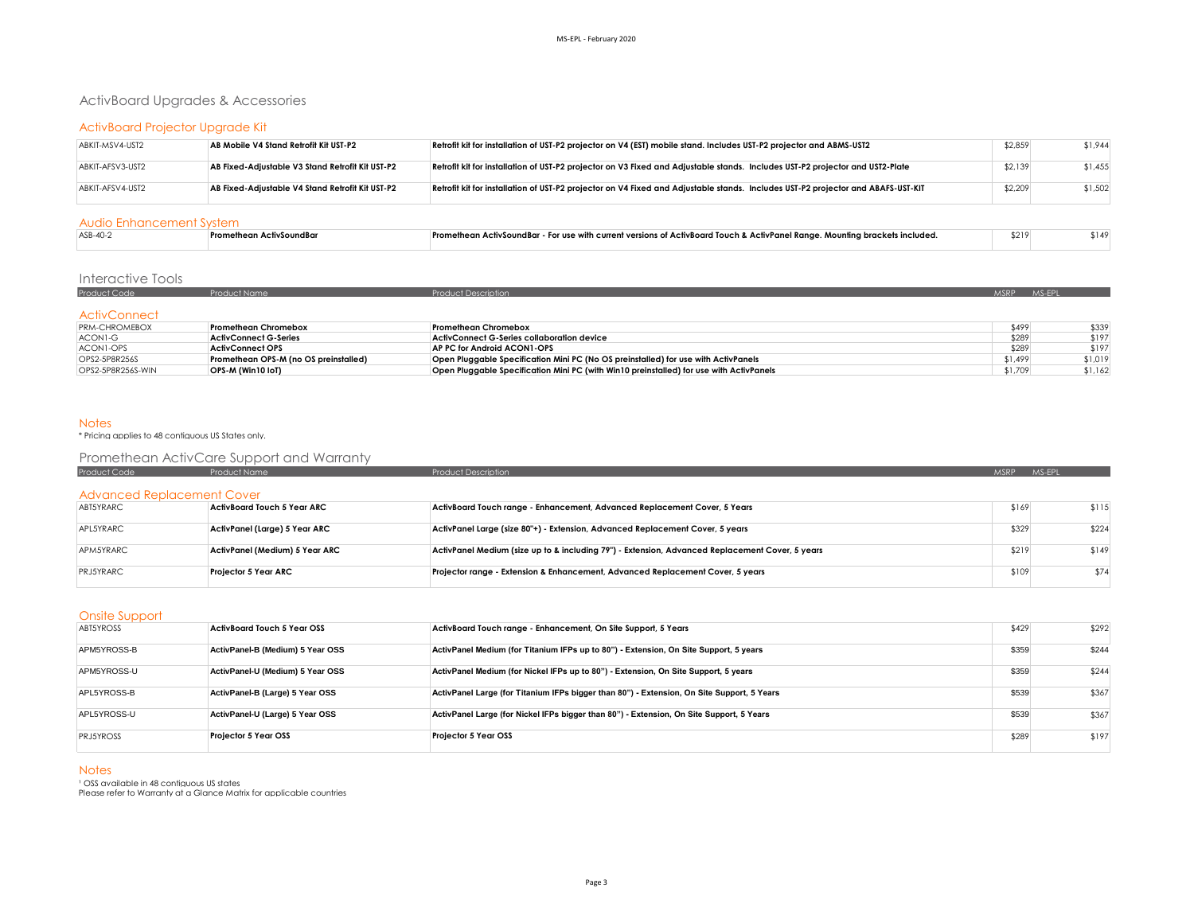# ActivBoard Upgrades & Accessories

## ActivBoard Projector Upgrade Kit

| ABKIT-MSV4-UST2  | AB Mobile V4 Stand Retrofit Kit UST-P2           | Retrofit kit for installation of UST-P2 projector on V4 (EST) mobile stand. Includes UST-P2 projector and ABMS-UST2              | \$2,859 | \$1,944 |
|------------------|--------------------------------------------------|----------------------------------------------------------------------------------------------------------------------------------|---------|---------|
| ABKIT-AFSV3-UST2 | AB Fixed-Adjustable V3 Stand Retrofit Kit UST-P2 | Retrofit kit for installation of UST-P2 projector on V3 Fixed and Adjustable stands. Includes UST-P2 projector and UST2-Plate    | \$2,139 | \$1,455 |
| ABKIT-AFSV4-UST2 | AB Fixed-Adiustable V4 Stand Retrofit Kit UST-P2 | Retrofit kit for installation of UST-P2 projector on V4 Fixed and Adjustable stands. Includes UST-P2 projector and ABAFS-UST-KIT | \$2,209 | \$1,502 |

#### Audio Enhancement System

| $ASB-40-$ | Promethean ActivSoundBaı | Promethean ActivSoundBar - For use with current versions of ActivBoard Touch & ActivPanel Range. Mounting brackets included. | \$219 | 1149 |
|-----------|--------------------------|------------------------------------------------------------------------------------------------------------------------------|-------|------|
|           |                          |                                                                                                                              |       |      |

# Interactive Tools

| <b>Product Code</b> | Product Name | Product Description | MSRP MS-EPL |  |
|---------------------|--------------|---------------------|-------------|--|
|                     |              |                     |             |  |
| <b>ActivConnect</b> |              |                     |             |  |

| <b>PRM-CHROMEBOX</b> | <b>Promethean Chromebox</b>           | <b>Promethean Chromebox</b>                                                             | \$499   | \$339   |
|----------------------|---------------------------------------|-----------------------------------------------------------------------------------------|---------|---------|
| ACON1-G              | ActivConnect G-Series                 | ActivConnect G-Series collaboration device                                              | \$289   | \$197   |
| ACON1-OPS            | <b>ActivConnect OPS</b>               | AP PC for Android ACON1-OPS                                                             | \$289   | \$197   |
| OPS2-5P8R256S        | Promethean OPS-M (no OS preinstalled) | Open Pluggable Specification Mini PC (No OS preinstalled) for use with ActivPanels      | \$1,499 | \$1,019 |
| OPS2-5P8R256S-WIN    | OPS-M (Win10 IoT)                     | Open Pluggable Specification Mini PC (with Win10 preinstalled) for use with ActivPanels | \$1,709 | \$1,162 |

#### Notes

\* Pricing applies to 48 contiguous US States only.

## Promethean ActivCare Support and Warranty

| Product Code                      | <b>Product Name</b>            | <b>Product Description</b>                                                                      | <b>MSRP</b> | MS-FPI |
|-----------------------------------|--------------------------------|-------------------------------------------------------------------------------------------------|-------------|--------|
| <b>Advanced Replacement Cover</b> |                                |                                                                                                 |             |        |
| ABT5YRARC                         | ActivBoard Touch 5 Year ARC    | ActivBoard Touch range - Enhancement, Advanced Replacement Cover, 5 Years                       | \$169       | \$115  |
| APL5YRARC                         | ActivPanel (Large) 5 Year ARC  | ActivPanel Large (size 80"+) - Extension, Advanced Replacement Cover, 5 years                   | \$329       | \$224  |
| APM5YRARC                         | ActivPanel (Medium) 5 Year ARC | ActivPanel Medium (size up to & including 79") - Extension, Advanced Replacement Cover, 5 years | \$219       | \$149  |
| <b>PRJ5YRARC</b>                  | Projector 5 Year ARC           | Projector range - Extension & Enhancement, Advanced Replacement Cover, 5 years                  | \$109       | \$74   |

#### Onsite Support

| ABT5YROSS        | ActivBoard Touch 5 Year OSS      | ActivBoard Touch range - Enhancement, On Site Support, 5 Years                             | \$429 | \$292 |
|------------------|----------------------------------|--------------------------------------------------------------------------------------------|-------|-------|
| APM5YROSS-B      | ActivPanel-B (Medium) 5 Year OSS | ActivPanel Medium (for Titanium IFPs up to 80") - Extension, On Site Support, 5 years      | \$359 | \$244 |
| APM5YROSS-U      | ActivPanel-U (Medium) 5 Year OSS | ActivPanel Medium (for Nickel IFPs up to 80") - Extension, On Site Support, 5 years        | \$359 | \$244 |
| APL5YROSS-B      | ActivPanel-B (Large) 5 Year OSS  | ActivPanel Large (for Titanium IFPs bigger than 80") - Extension, On Site Support, 5 Years | \$539 | \$367 |
| APL5YROSS-U      | ActivPanel-U (Large) 5 Year OSS  | ActivPanel Large (for Nickel IFPs bigger than 80") - Extension, On Site Support, 5 Years   | \$539 | \$367 |
| <b>PRJ5YROSS</b> | Projector 5 Year OSS             | Projector 5 Year OSS                                                                       | \$289 | \$197 |

#### **Notes**

' OSS available in 48 contiguous US states<br>Please refer to Warrantv at a Glance Matrix for applicable countries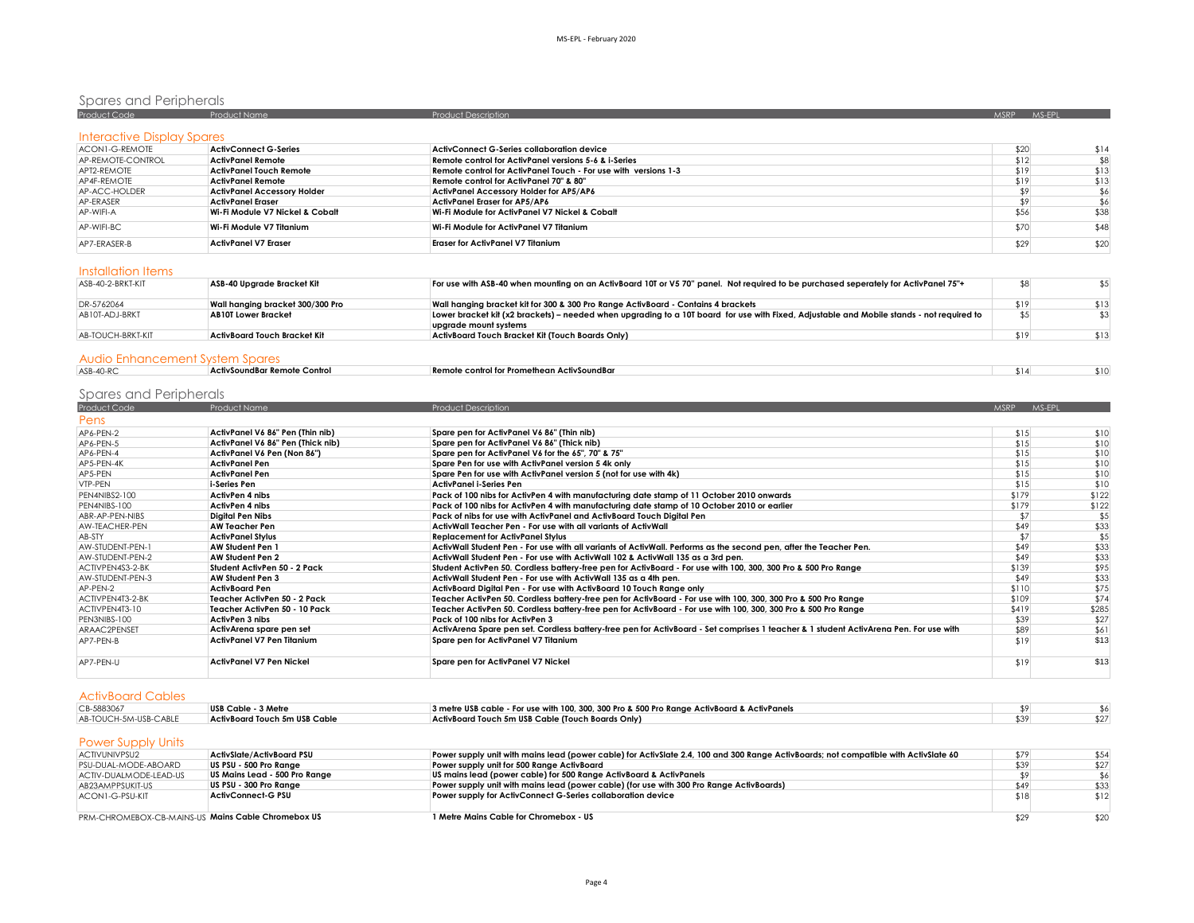# Spares and Peripherals<br>Product Code Product Name Product Name Product Description Product Description Assembly of the Second MSRP MS-

| <b>Interactive Display Spares</b> |                                    |                                                                 |      |      |
|-----------------------------------|------------------------------------|-----------------------------------------------------------------|------|------|
| ACON1-G-REMOTE                    |                                    | <b>ActivConnect G-Series collaboration device</b>               |      |      |
|                                   | <b>ActivConnect G-Series</b>       |                                                                 | \$20 | \$14 |
| AP-REMOTE-CONTROL                 | ActivPanel Remote                  | Remote control for ActivPanel versions 5-6 & i-Series           | \$12 | \$8  |
| APT2-REMOTE                       | <b>ActivPanel Touch Remote</b>     | Remote control for ActivPanel Touch - For use with versions 1-3 | \$19 | \$13 |
| AP4F-REMOTE                       | <b>ActivPanel Remote</b>           | Remote control for ActivPanel 70" & 80"                         | \$19 | \$13 |
| AP-ACC-HOLDER                     | <b>ActivPanel Accessory Holder</b> | <b>ActivPanel Accessory Holder for AP5/AP6</b>                  |      | \$6  |
| AP-ERASER                         | <b>ActivPanel Eraser</b>           | ActivPanel Eraser for AP5/AP6                                   |      | \$6  |
| AP-WIFI-A                         | Wi-Fi Module V7 Nickel & Cobalt    | Wi-Fi Module for ActivPanel V7 Nickel & Cobalt                  | \$56 | \$38 |
| AP-WIFI-BC                        | Wi-Fi Module V7 Titanium           | Wi-Fi Module for ActivPanel V7 Titanium                         | \$70 | \$48 |
| AP7-FRASFR-B                      | <b>ActivPanel V7 Eraser</b>        | <b>Eraser for ActivPanel V7 Titanium</b>                        | \$29 | \$20 |

#### Installation Items

| ASB-40-2-BRKT-KIT | ASB-40 Upgrade Bracket Kit       | For use with ASB-40 when mounting on an ActivBoard 10T or V5 70" panel. Not required to be purchased seperately for ActivPanel 75"+                                |      |      |
|-------------------|----------------------------------|--------------------------------------------------------------------------------------------------------------------------------------------------------------------|------|------|
| DR-5762064        | Wall hanging bracket 300/300 Pro | Wall hanging bracket kit for 300 & 300 Pro Range ActivBoard - Contains 4 brackets                                                                                  | \$19 | \$13 |
| AB10T-ADJ-BRKT    | <b>AB10T Lower Bracket</b>       | Lower bracket kit (x2 brackets) – needed when upgrading to a 10T board for use with Fixed, Adjustable and Mobile stands - not required to<br>uparade mount systems |      |      |
| AB-TOUCH-BRKT-KIT | ActivBoard Touch Bracket Kit     | ActivBoard Touch Bracket Kit (Touch Boards Only)                                                                                                                   | \$19 | \$13 |
|                   |                                  |                                                                                                                                                                    |      |      |

#### Audio Enhancement System Spares

| ASB-40-RC | ActivSoundBar Remote Control | Remote control for Promethean ActivSoundBar<br>________ | 514' | 5 I ( ) |
|-----------|------------------------------|---------------------------------------------------------|------|---------|
|           |                              |                                                         |      |         |

# Spares and Peripherals

| Product Code     | <b>Product Name</b>               | <b>Product Description</b>                                                                                                            | MSRP MS-EPL |       |
|------------------|-----------------------------------|---------------------------------------------------------------------------------------------------------------------------------------|-------------|-------|
| Pens             |                                   |                                                                                                                                       |             |       |
| AP6-PEN-2        | ActivPanel V6 86" Pen (Thin nib)  | Spare pen for ActivPanel V6 86" (Thin nib)                                                                                            | \$15        | \$10  |
| AP6-PEN-5        | ActivPanel V6 86" Pen (Thick nib) | Spare pen for ActivPanel V6 86" (Thick nib)                                                                                           | \$15        | \$10  |
| AP6-PEN-4        | ActivPanel V6 Pen (Non 86")       | Spare pen for ActivPanel V6 for the 65", 70" & 75"                                                                                    | \$15        | \$10  |
| AP5-PEN-4K       | <b>ActivPanel Pen</b>             | Spare Pen for use with ActivPanel version 5 4k only                                                                                   | \$15        | \$10  |
| AP5-PEN          | <b>ActivPanel Pen</b>             | Spare Pen for use with ActivPanel version 5 (not for use with 4k)                                                                     | \$15        | \$10  |
| VTP-PEN          | i-Series Pen                      | ActivPanel i-Series Pen                                                                                                               | \$15        | \$10  |
| PEN4NIBS2-100    | ActivPen 4 nibs                   | Pack of 100 nibs for ActivPen 4 with manufacturing date stamp of 11 October 2010 onwards                                              | \$179       | \$122 |
| PEN4NIBS-100     | ActivPen 4 nibs                   | Pack of 100 nibs for ActivPen 4 with manufacturing date stamp of 10 October 2010 or earlier                                           | \$179       | \$122 |
| ABR-AP-PEN-NIBS  | <b>Diaital Pen Nibs</b>           | Pack of nibs for use with ActivPanel and ActivBoard Touch Diaital Pen                                                                 | \$7         | \$5   |
| AW-TEACHER-PEN   | <b>AW Teacher Pen</b>             | ActivWall Teacher Pen - For use with all variants of ActivWall                                                                        | \$49        | \$33  |
| AB-STY           | <b>ActivPanel Stylus</b>          | <b>Replacement for ActivPanel Stylus</b>                                                                                              | \$7         | \$5   |
| AW-STUDENT-PEN-1 | <b>AW Student Pen 1</b>           | ActivWall Student Pen - For use with all variants of ActivWall. Performs as the second pen, after the Teacher Pen.                    | \$49        | \$33  |
| AW-STUDENT-PEN-2 | <b>AW Student Pen 2</b>           | ActivWall Student Pen - For use with ActivWall 102 & ActivWall 135 as a 3rd pen.                                                      | \$49        | \$33  |
| ACTIVPFN4S3-2-BK | Student ActivPen 50 - 2 Pack      | Student ActivPen 50. Cordless battery-free pen for ActivBoard - For use with 100, 300, 300 Pro & 500 Pro Range                        | \$139       | \$95  |
| AW-STUDENT-PEN-3 | <b>AW Student Pen 3</b>           | ActivWall Student Pen - For use with ActivWall 135 as a 4th pen.                                                                      | \$49        | \$33  |
| AP-PEN-2         | <b>ActivBoard Pen</b>             | ActivBoard Digital Pen - For use with ActivBoard 10 Touch Range only                                                                  | \$110       | \$75  |
| ACTIVPEN4T3-2-BK | Teacher ActivPen 50 - 2 Pack      | Teacher ActivPen 50. Cordless battery-free pen for ActivBoard - For use with 100, 300, 300 Pro & 500 Pro Range                        | \$109       | \$74  |
| ACTIVPEN4T3-10   | Teacher ActivPen 50 - 10 Pack     | Teacher ActivPen 50. Cordless battery-free pen for ActivBoard - For use with 100, 300, 300 Pro & 500 Pro Range                        | \$419       | \$285 |
| PEN3NIBS-100     | ActivPen 3 nibs                   | Pack of 100 nibs for ActivPen 3                                                                                                       | \$39        | \$27  |
| ARAAC2PENSET     | ActivArena spare pen set          | ActivArena Spare pen set. Cordless battery-free pen for ActivBoard - Set comprises 1 teacher & 1 student ActivArena Pen. For use with | \$89        | \$61  |
| AP7-PEN-B        | ActivPanel V7 Pen Titanium        | Spare pen for ActivPanel V7 Titanium                                                                                                  | \$19        | \$13  |
| AP7-PEN-U        | <b>ActivPanel V7 Pen Nickel</b>   | Spare pen for ActivPanel V7 Nickel                                                                                                    | \$19        | \$13  |

### ActivBoard Cables

| CB-5883067            | USB Cable - 3 Metre           | 3 metre USB cable - For use with 100, 300, 300 Pro & 500 Pro Range ActivBoard & ActivPanels |  |
|-----------------------|-------------------------------|---------------------------------------------------------------------------------------------|--|
| AB-TOUCH-5M-USB-CABLE | ActivBoard Touch 5m USB Cable | ActivBoard Touch 5m USB Cable (Touch Boards Only)                                           |  |
|                       |                               |                                                                                             |  |

#### Power Supply Units

| . <u>.</u>                                         |                               |                                                                                                                                      |      |      |
|----------------------------------------------------|-------------------------------|--------------------------------------------------------------------------------------------------------------------------------------|------|------|
| ACTIVUNIVPSU2                                      | ActivSlate/ActivBoard PSU     | Power supply unit with mains lead (power cable) for ActivSlate 2.4, 100 and 300 Range ActivBoards; not compatible with ActivSlate 60 | \$79 | \$54 |
| PSU-DUAL-MODE-ABOARD                               | US PSU - 500 Pro Ranae        | Power supply unit for 500 Range ActivBoard                                                                                           | \$39 | \$27 |
| ACTIV-DUALMODE-LEAD-US                             | US Mains Lead - 500 Pro Range | US mains lead (power cable) for 500 Range ActivBoard & ActivPanels                                                                   |      |      |
| AB23AMPPSUKIT-US                                   | US PSU - 300 Pro Range        | Power supply unit with mains lead (power cable) (for use with 300 Pro Range ActivBoards)                                             | \$49 | \$33 |
| ACON1-G-PSU-KIT                                    | <b>ActivConnect-G PSU</b>     | Power supply for ActivConnect G-Series collaboration device                                                                          | \$18 | \$12 |
|                                                    |                               |                                                                                                                                      |      |      |
| PRM-CHROMEBOX-CB-MAINS-US Mains Cable Chromebox US |                               | 1 Metre Mains Cable for Chromebox - US                                                                                               | \$29 | \$20 |
|                                                    |                               |                                                                                                                                      |      |      |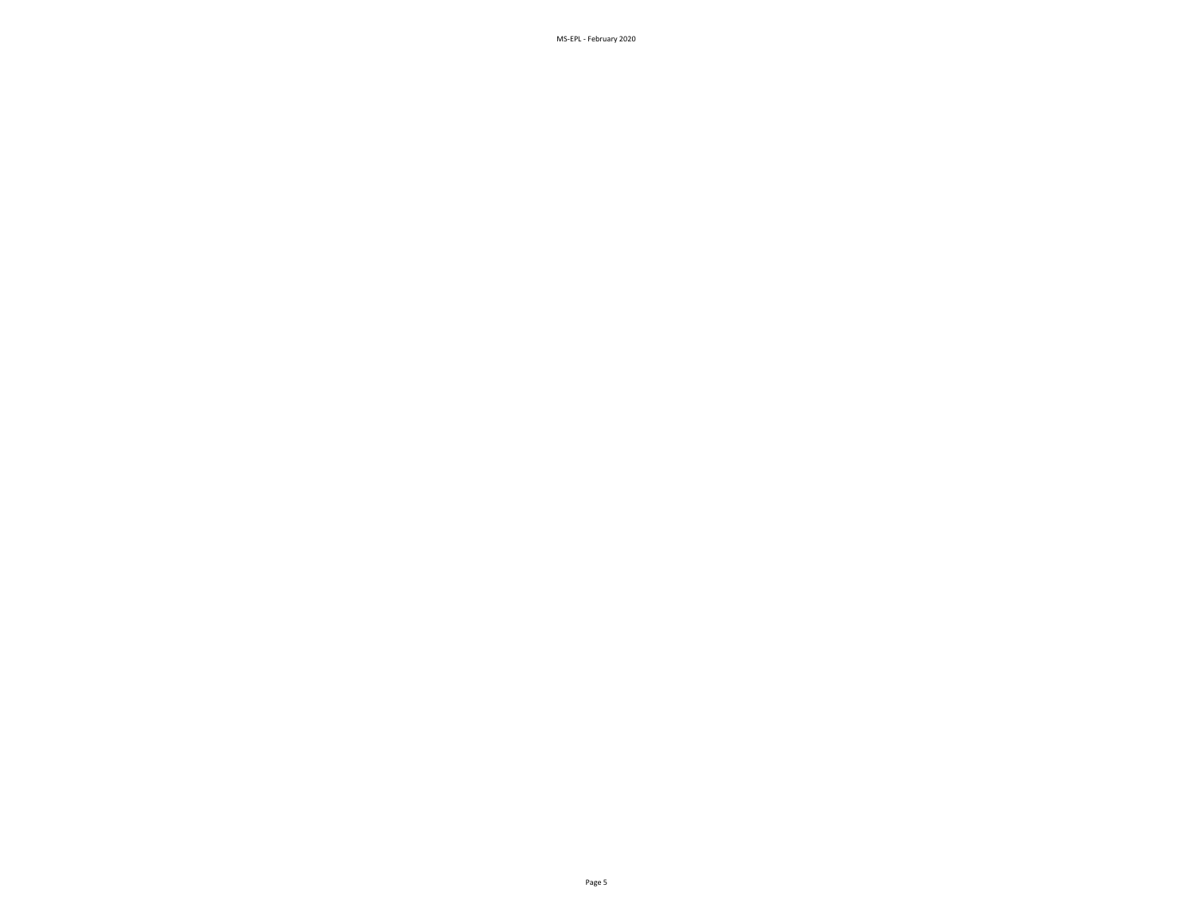MS-EPL - February 2020